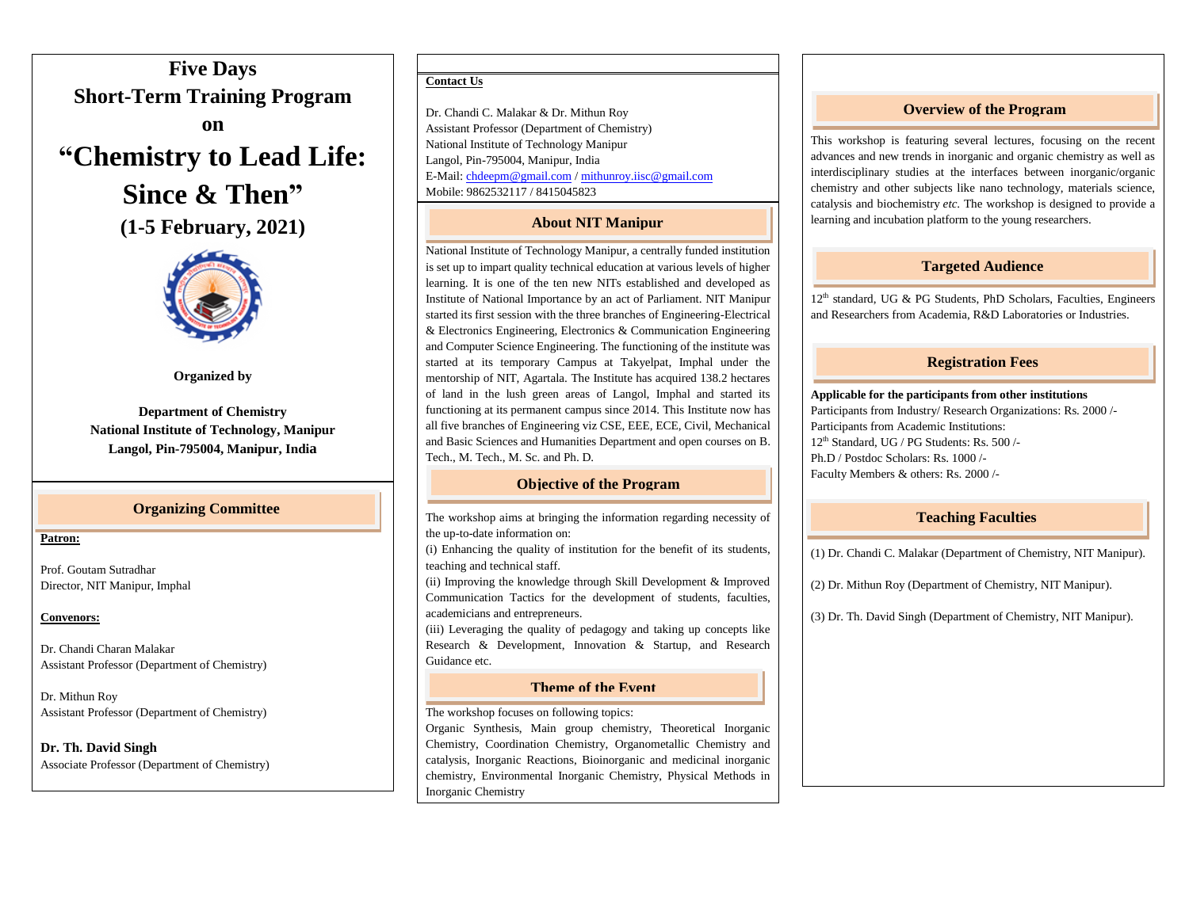**Five Days Short-Term Training Program on**





**Organized by**

**Department of Chemistry National Institute of Technology, Manipur Langol, Pin-795004, Manipur, India**

## **Organizing Committee**

#### **Patron:**

Prof. Goutam Sutradhar Director, NIT Manipur, Imphal

#### **Convenors:**

Dr. Chandi Charan Malakar Assistant Professor (Department of Chemistry)

Dr. Mithun Roy Assistant Professor (Department of Chemistry)

**Dr. Th. David Singh** Associate Professor (Department of Chemistry)

### **Contact Us**

l

Dr. Chandi C. Malakar & Dr. Mithun Roy Assistant Professor (Department of Chemistry) National Institute of Technology Manipur Langol, Pin-795004, Manipur, India E-Mail[: chdeepm@gmail.com](mailto:chdeepm@gmail.com) [/ mithunroy.iisc@gmail.com](mailto:mithunroy.iisc@gmail.com) Mobile: 9862532117 / 8415045823

## **About NIT Manipur**

National Institute of Technology Manipur, a centrally funded institution is set up to impart quality technical education at various levels of higher learning. It is one of the ten new NITs established and developed as Institute of National Importance by an act of Parliament. NIT Manipur started its first session with the three branches of Engineering-Electrical & Electronics Engineering, Electronics & Communication Engineering and Computer Science Engineering. The functioning of the institute was started at its temporary Campus at Takyelpat, Imphal under the mentorship of NIT, Agartala. The Institute has acquired 138.2 hectares of land in the lush green areas of Langol, Imphal and started its functioning at its permanent campus since 2014. This Institute now has all five branches of Engineering viz CSE, EEE, ECE, Civil, Mechanical and Basic Sciences and Humanities Department and open courses on B. Tech., M. Tech., M. Sc. and Ph. D.

## **Objective of the Program**

The workshop aims at bringing the information regarding necessity of the up-to-date information on:

(i) Enhancing the quality of institution for the benefit of its students, teaching and technical staff.

(ii) Improving the knowledge through Skill Development & Improved Communication Tactics for the development of students, faculties, academicians and entrepreneurs.

(iii) Leveraging the quality of pedagogy and taking up concepts like Research & Development, Innovation & Startup, and Research Guidance etc.

## **Theme of the Event**

The workshop focuses on following topics:

Organic Synthesis, Main group chemistry, Theoretical Inorganic Chemistry, Coordination Chemistry, Organometallic Chemistry and catalysis, Inorganic Reactions, Bioinorganic and medicinal inorganic chemistry, Environmental Inorganic Chemistry, Physical Methods in Inorganic Chemistry

# **Overview of the Program**

This workshop is featuring several lectures, focusing on the recent advances and new trends in inorganic and organic chemistry as well as interdisciplinary studies at the interfaces between inorganic/organic chemistry and other subjects like nano technology, materials science, catalysis and biochemistry *etc*. The workshop is designed to provide a learning and incubation platform to the young researchers.

# **Targeted Audience**

12<sup>th</sup> standard, UG & PG Students, PhD Scholars, Faculties, Engineers and Researchers from Academia, R&D Laboratories or Industries.

# **Registration Fees**

**Applicable for the participants from other institutions** Participants from Industry/ Research Organizations: Rs. 2000 /- Participants from Academic Institutions: 12th Standard, UG / PG Students: Rs. 500 /- Ph.D / Postdoc Scholars: Rs. 1000 /-

Faculty Members & others: Rs. 2000 /-

## **Teaching Faculties**

(1) Dr. Chandi C. Malakar (Department of Chemistry, NIT Manipur).

(2) Dr. Mithun Roy (Department of Chemistry, NIT Manipur).

(3) Dr. Th. David Singh (Department of Chemistry, NIT Manipur).